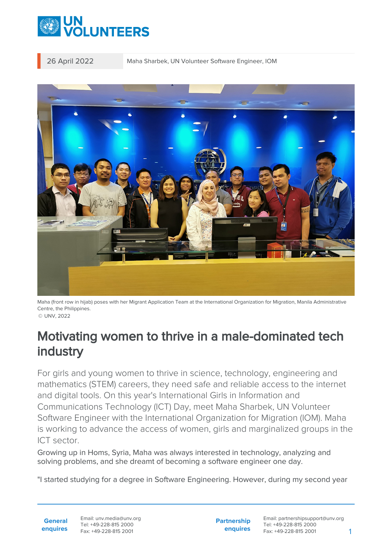

26 April 2022 Maha Sharbek, UN Volunteer Software Engineer, IOM



Maha (front row in hijab) poses with her Migrant Application Team at the International Organization for Migration, Manila Administrative Centre, the Philippines.

© UNV, 2022

## Motivating women to thrive in a male-dominated tech industry

For girls and young women to thrive in science, technology, engineering and mathematics (STEM) careers, they need safe and reliable access to the internet and digital tools. On this year's International Girls in Information and Communications Technology (ICT) Day, meet Maha Sharbek, UN Volunteer Software Engineer with the International Organization for Migration (IOM). Maha is working to advance the access of women, girls and marginalized groups in the ICT sector.

Growing up in Homs, Syria, Maha was always interested in technology, analyzing and solving problems, and she dreamt of becoming a software engineer one day.

"I started studying for a degree in Software Engineering. However, during my second year

**General enquires** Email: unv.media@unv.org Tel: +49-228-815 2000 Fax: +49-228-815 2001

**Partnership enquires** Email: partnershipsupport@unv.org Tel: +49-228-815 2000 Fax: +49-228-815 2001 1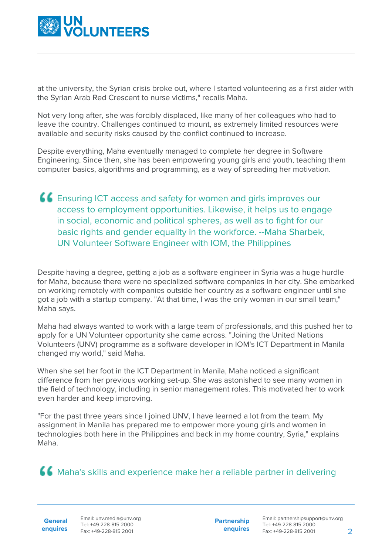

at the university, the Syrian crisis broke out, where I started volunteering as a first aider with the Syrian Arab Red Crescent to nurse victims," recalls Maha.

Not very long after, she was forcibly displaced, like many of her colleagues who had to leave the country. Challenges continued to mount, as extremely limited resources were available and security risks caused by the conflict continued to increase.

Despite everything, Maha eventually managed to complete her degree in Software Engineering. Since then, she has been empowering young girls and youth, teaching them computer basics, algorithms and programming, as a way of spreading her motivation.

Ensuring ICT access and safety for women and girls improves our access to employment opportunities. Likewise, it helps us to engage in social, economic and political spheres, as well as to fight for our basic rights and gender equality in the workforce. --Maha Sharbek, UN Volunteer Software Engineer with IOM, the Philippines

Despite having a degree, getting a job as a software engineer in Syria was a huge hurdle for Maha, because there were no specialized software companies in her city. She embarked on working remotely with companies outside her country as a software engineer until she got a job with a startup company. "At that time, I was the only woman in our small team," Maha says.

Maha had always wanted to work with a large team of professionals, and this pushed her to apply for a UN Volunteer opportunity she came across. "Joining the United Nations Volunteers (UNV) programme as a software developer in IOM's ICT Department in Manila changed my world," said Maha.

When she set her foot in the ICT Department in Manila, Maha noticed a significant difference from her previous working set-up. She was astonished to see many women in the field of technology, including in senior management roles. This motivated her to work even harder and keep improving.

"For the past three years since I joined UNV, I have learned a lot from the team. My assignment in Manila has prepared me to empower more young girls and women in technologies both here in the Philippines and back in my home country, Syria," explains Maha.

Maha's skills and experience make her a reliable partner in delivering

**General**

**enquires** Fax: +49-228-815 2001 Email: unv.media@unv.org Tel: +49-228-815 2000

**Partnership enquires**

Email: partnershipsupport@unv.org Tel: +49-228-815 2000 Fax: +49-228-815 2001 2